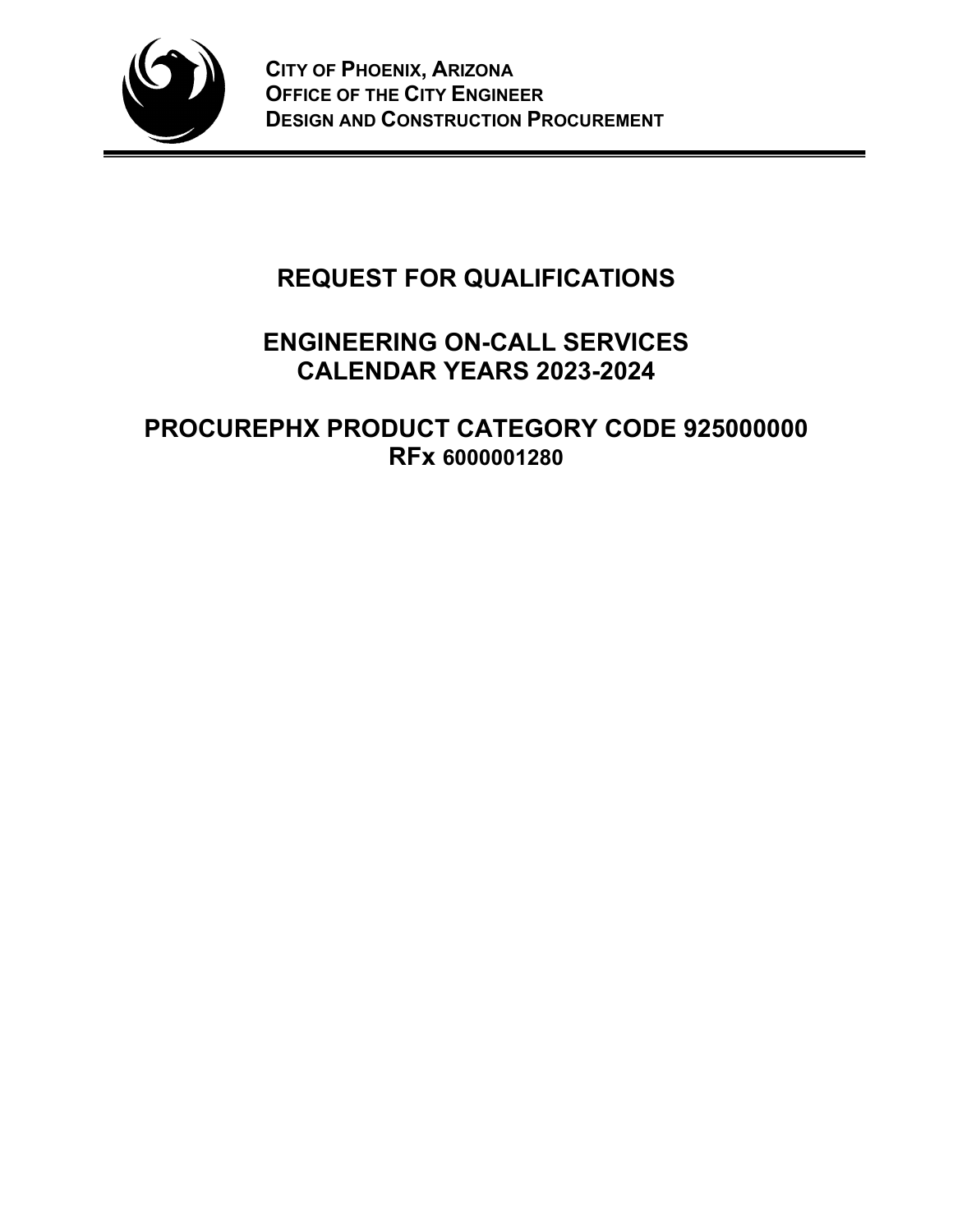

# **REQUEST FOR QUALIFICATIONS**

## **ENGINEERING ON-CALL SERVICES CALENDAR YEARS 2023-2024**

**PROCUREPHX PRODUCT CATEGORY CODE 925000000 RFx 6000001280**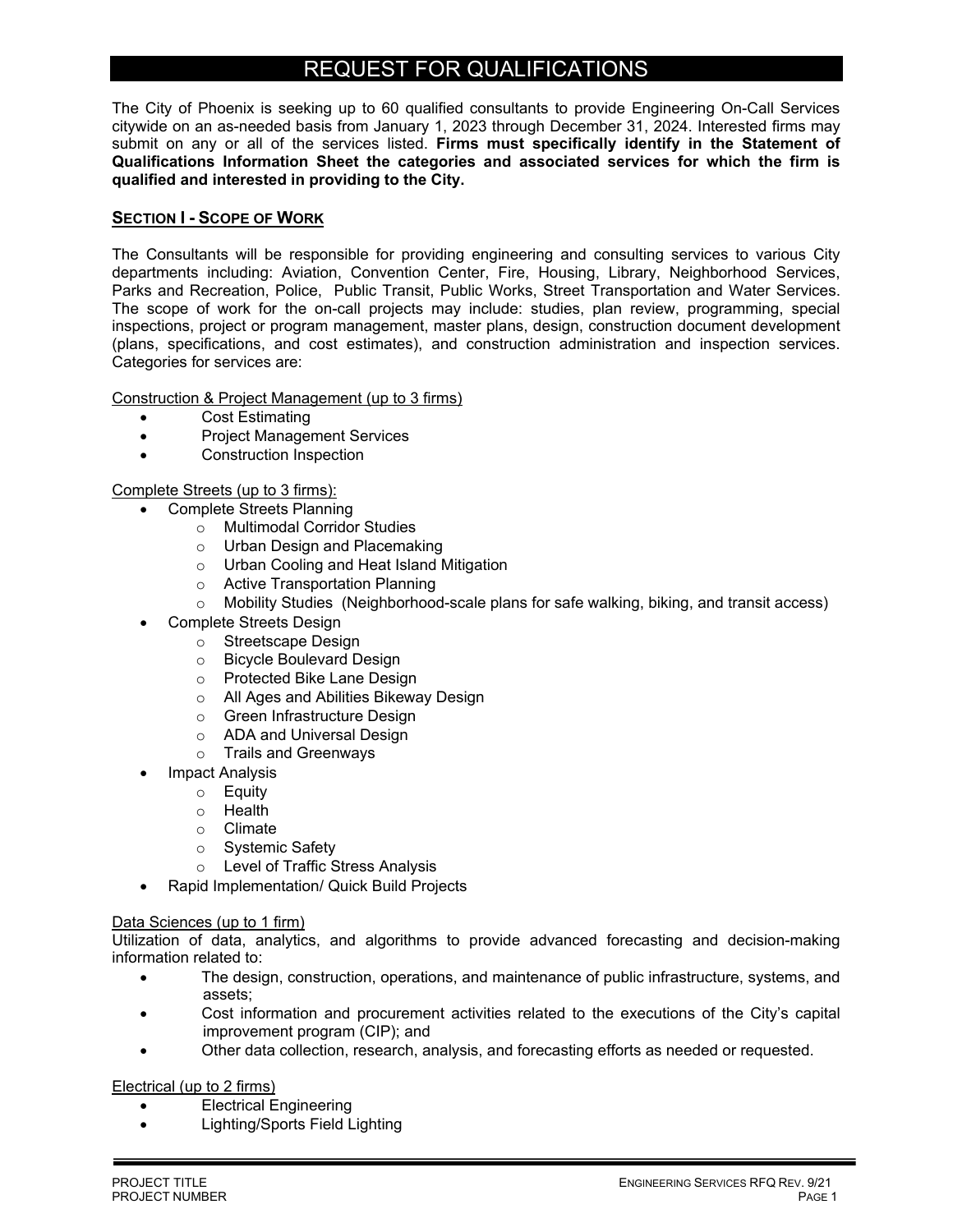### REQUEST FOR QUALIFICATIONS

The City of Phoenix is seeking up to 60 qualified consultants to provide Engineering On-Call Services citywide on an as-needed basis from January 1, 2023 through December 31, 2024. Interested firms may submit on any or all of the services listed. **Firms must specifically identify in the Statement of Qualifications Information Sheet the categories and associated services for which the firm is qualified and interested in providing to the City.** 

#### **SECTION I - SCOPE OF WORK**

The Consultants will be responsible for providing engineering and consulting services to various City departments including: Aviation, Convention Center, Fire, Housing, Library, Neighborhood Services, Parks and Recreation, Police, Public Transit, Public Works, Street Transportation and Water Services. The scope of work for the on-call projects may include: studies, plan review, programming, special inspections, project or program management, master plans, design, construction document development (plans, specifications, and cost estimates), and construction administration and inspection services. Categories for services are:

Construction & Project Management (up to 3 firms)

- Cost Estimating
- Project Management Services
- Construction Inspection

#### Complete Streets (up to 3 firms):

- Complete Streets Planning
	- o Multimodal Corridor Studies
	- o Urban Design and Placemaking
	- o Urban Cooling and Heat Island Mitigation
	- o Active Transportation Planning
	- $\circ$  Mobility Studies (Neighborhood-scale plans for safe walking, biking, and transit access)
	- Complete Streets Design
		- o Streetscape Design
		- o Bicycle Boulevard Design
		- o Protected Bike Lane Design
		- o All Ages and Abilities Bikeway Design
		- o Green Infrastructure Design
		- o ADA and Universal Design
		- o Trails and Greenways
	- Impact Analysis
		- o Equity
		- o Health
		- o Climate
		- o Systemic Safety
		- o Level of Traffic Stress Analysis
- Rapid Implementation/ Quick Build Projects

#### Data Sciences (up to 1 firm)

Utilization of data, analytics, and algorithms to provide advanced forecasting and decision-making information related to:

- The design, construction, operations, and maintenance of public infrastructure, systems, and assets;
- Cost information and procurement activities related to the executions of the City's capital improvement program (CIP); and
- Other data collection, research, analysis, and forecasting efforts as needed or requested.

Electrical (up to 2 firms)

- Electrical Engineering
- Lighting/Sports Field Lighting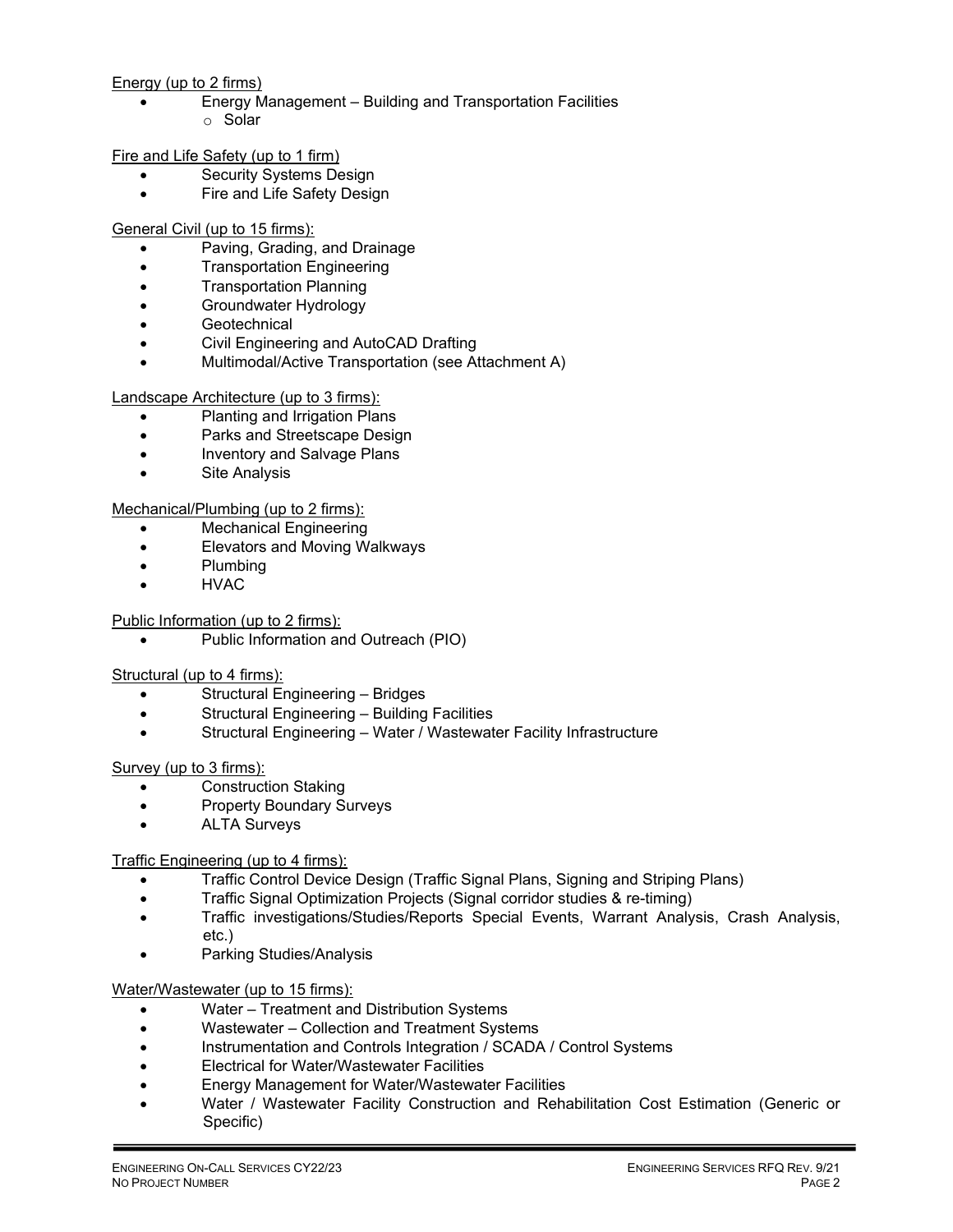#### Energy (up to 2 firms)

 Energy Management – Building and Transportation Facilities o Solar

Fire and Life Safety (up to 1 firm)

- Security Systems Design
- Fire and Life Safety Design

General Civil (up to 15 firms):

- Paving, Grading, and Drainage
- **•** Transportation Engineering
- Transportation Planning
- **•** Groundwater Hydrology
- **Geotechnical**
- Civil Engineering and AutoCAD Drafting
- Multimodal/Active Transportation (see Attachment A)

Landscape Architecture (up to 3 firms):

- Planting and Irrigation Plans
- Parks and Streetscape Design
- Inventory and Salvage Plans
- Site Analysis

Mechanical/Plumbing (up to 2 firms):

- Mechanical Engineering
- Elevators and Moving Walkways
- Plumbing
- HVAC

Public Information (up to 2 firms):

Public Information and Outreach (PIO)

Structural (up to 4 firms):

- Structural Engineering Bridges
- Structural Engineering Building Facilities
- Structural Engineering Water / Wastewater Facility Infrastructure

Survey (up to 3 firms):

- Construction Staking
- Property Boundary Surveys
- ALTA Surveys

Traffic Engineering (up to 4 firms):

- Traffic Control Device Design (Traffic Signal Plans, Signing and Striping Plans)
- Traffic Signal Optimization Projects (Signal corridor studies & re-timing)
- Traffic investigations/Studies/Reports Special Events, Warrant Analysis, Crash Analysis, etc.)
- Parking Studies/Analysis

Water/Wastewater (up to 15 firms):

- Water Treatment and Distribution Systems
- Wastewater Collection and Treatment Systems
- Instrumentation and Controls Integration / SCADA / Control Systems
- Electrical for Water/Wastewater Facilities
- Energy Management for Water/Wastewater Facilities
- Water / Wastewater Facility Construction and Rehabilitation Cost Estimation (Generic or Specific)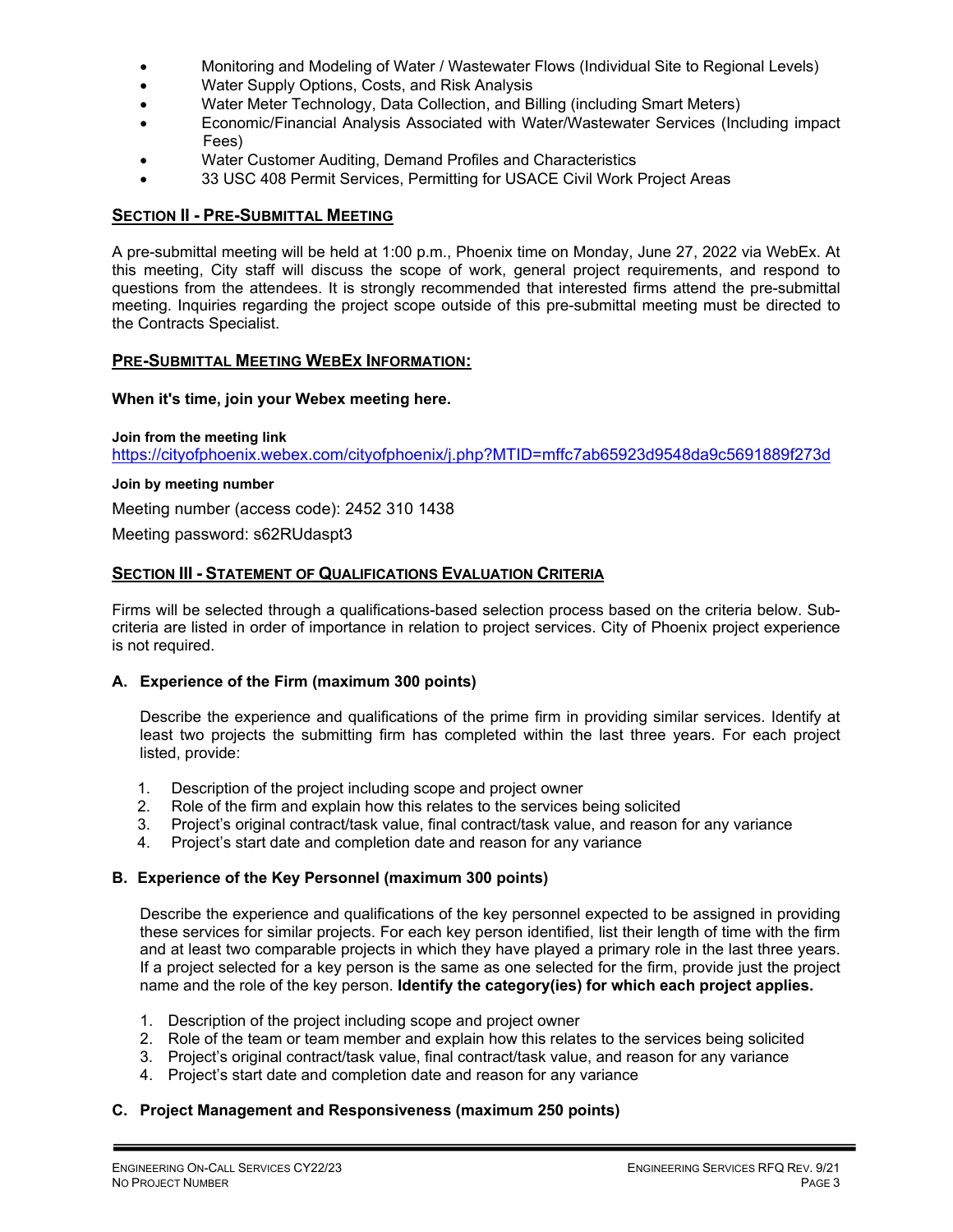- Monitoring and Modeling of Water / Wastewater Flows (Individual Site to Regional Levels)
- Water Supply Options, Costs, and Risk Analysis
- Water Meter Technology, Data Collection, and Billing (including Smart Meters)
- Economic/Financial Analysis Associated with Water/Wastewater Services (Including impact Fees)
- Water Customer Auditing, Demand Profiles and Characteristics
- 33 USC 408 Permit Services, Permitting for USACE Civil Work Project Areas

#### **SECTION II - PRE-SUBMITTAL MEETING**

A pre-submittal meeting will be held at 1:00 p.m., Phoenix time on Monday, June 27, 2022 via WebEx. At this meeting, City staff will discuss the scope of work, general project requirements, and respond to questions from the attendees. It is strongly recommended that interested firms attend the pre-submittal meeting. Inquiries regarding the project scope outside of this pre-submittal meeting must be directed to the Contracts Specialist.

#### **PRE-SUBMITTAL MEETING WEBEX INFORMATION:**

#### **When it's time, join your Webex meeting here.**

**Join from the meeting link**  https://cityofphoenix.webex.com/cityofphoenix/j.php?MTID=mffc7ab65923d9548da9c5691889f273d

**Join by meeting number** 

Meeting number (access code): 2452 310 1438

Meeting password: s62RUdaspt3

#### **SECTION III - STATEMENT OF QUALIFICATIONS EVALUATION CRITERIA**

Firms will be selected through a qualifications-based selection process based on the criteria below. Subcriteria are listed in order of importance in relation to project services. City of Phoenix project experience is not required.

#### **A. Experience of the Firm (maximum 300 points)**

Describe the experience and qualifications of the prime firm in providing similar services. Identify at least two projects the submitting firm has completed within the last three years. For each project listed, provide:

- 1. Description of the project including scope and project owner
- 2. Role of the firm and explain how this relates to the services being solicited
- 3. Project's original contract/task value, final contract/task value, and reason for any variance
- 4. Project's start date and completion date and reason for any variance

#### **B. Experience of the Key Personnel (maximum 300 points)**

Describe the experience and qualifications of the key personnel expected to be assigned in providing these services for similar projects. For each key person identified, list their length of time with the firm and at least two comparable projects in which they have played a primary role in the last three years. If a project selected for a key person is the same as one selected for the firm, provide just the project name and the role of the key person. **Identify the category(ies) for which each project applies.**

- 1. Description of the project including scope and project owner
- 2. Role of the team or team member and explain how this relates to the services being solicited
- 3. Project's original contract/task value, final contract/task value, and reason for any variance
- 4. Project's start date and completion date and reason for any variance

#### **C. Project Management and Responsiveness (maximum 250 points)**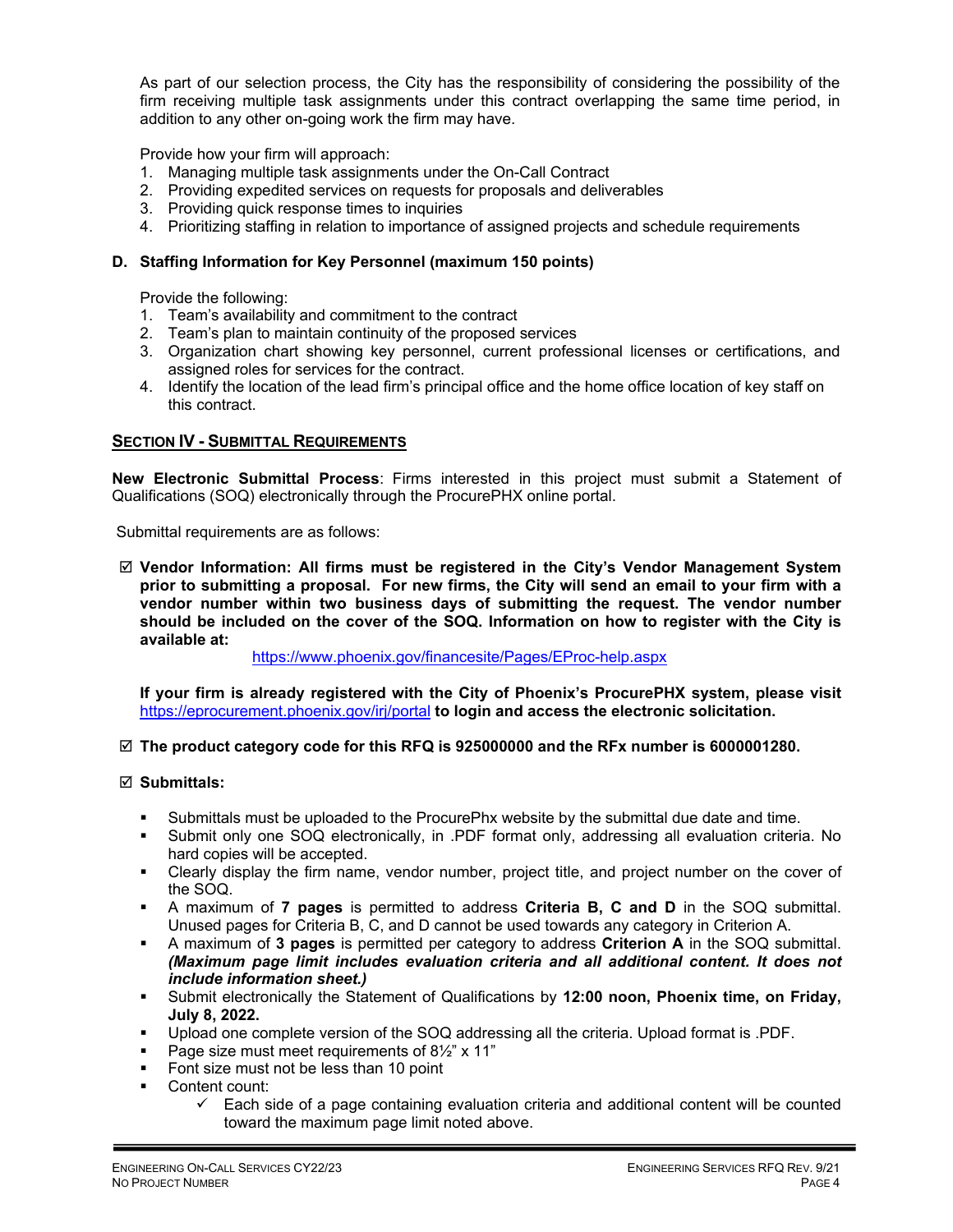As part of our selection process, the City has the responsibility of considering the possibility of the firm receiving multiple task assignments under this contract overlapping the same time period, in addition to any other on-going work the firm may have.

Provide how your firm will approach:

- 1. Managing multiple task assignments under the On-Call Contract
- 2. Providing expedited services on requests for proposals and deliverables
- 3. Providing quick response times to inquiries
- 4. Prioritizing staffing in relation to importance of assigned projects and schedule requirements

#### **D. Staffing Information for Key Personnel (maximum 150 points)**

Provide the following:

- 1. Team's availability and commitment to the contract
- 2. Team's plan to maintain continuity of the proposed services
- 3. Organization chart showing key personnel, current professional licenses or certifications, and assigned roles for services for the contract.
- 4. Identify the location of the lead firm's principal office and the home office location of key staff on this contract.

#### **SECTION IV - SUBMITTAL REQUIREMENTS**

**New Electronic Submittal Process**: Firms interested in this project must submit a Statement of Qualifications (SOQ) electronically through the ProcurePHX online portal.

Submittal requirements are as follows:

 **Vendor Information: All firms must be registered in the City's Vendor Management System prior to submitting a proposal. For new firms, the City will send an email to your firm with a vendor number within two business days of submitting the request. The vendor number should be included on the cover of the SOQ. Information on how to register with the City is available at:** 

https://www.phoenix.gov/financesite/Pages/EProc-help.aspx

**If your firm is already registered with the City of Phoenix's ProcurePHX system, please visit**  https://eprocurement.phoenix.gov/irj/portal **to login and access the electronic solicitation.**

#### **The product category code for this RFQ is 925000000 and the RFx number is 6000001280.**

#### **Submittals:**

- Submittals must be uploaded to the ProcurePhx website by the submittal due date and time.
- Submit only one SOQ electronically, in .PDF format only, addressing all evaluation criteria. No hard copies will be accepted.
- Clearly display the firm name, vendor number, project title, and project number on the cover of the SOQ.
- A maximum of **7 pages** is permitted to address **Criteria B, C and D** in the SOQ submittal. Unused pages for Criteria B, C, and D cannot be used towards any category in Criterion A.
- A maximum of **3 pages** is permitted per category to address **Criterion A** in the SOQ submittal. *(Maximum page limit includes evaluation criteria and all additional content. It does not include information sheet.)*
- Submit electronically the Statement of Qualifications by **12:00 noon, Phoenix time, on Friday, July 8, 2022.**
- Upload one complete version of the SOQ addressing all the criteria. Upload format is .PDF.
- Page size must meet requirements of  $8\frac{1}{2}$ " x 11"
- Font size must not be less than 10 point
- **Content count:** 
	- $\checkmark$  Each side of a page containing evaluation criteria and additional content will be counted toward the maximum page limit noted above.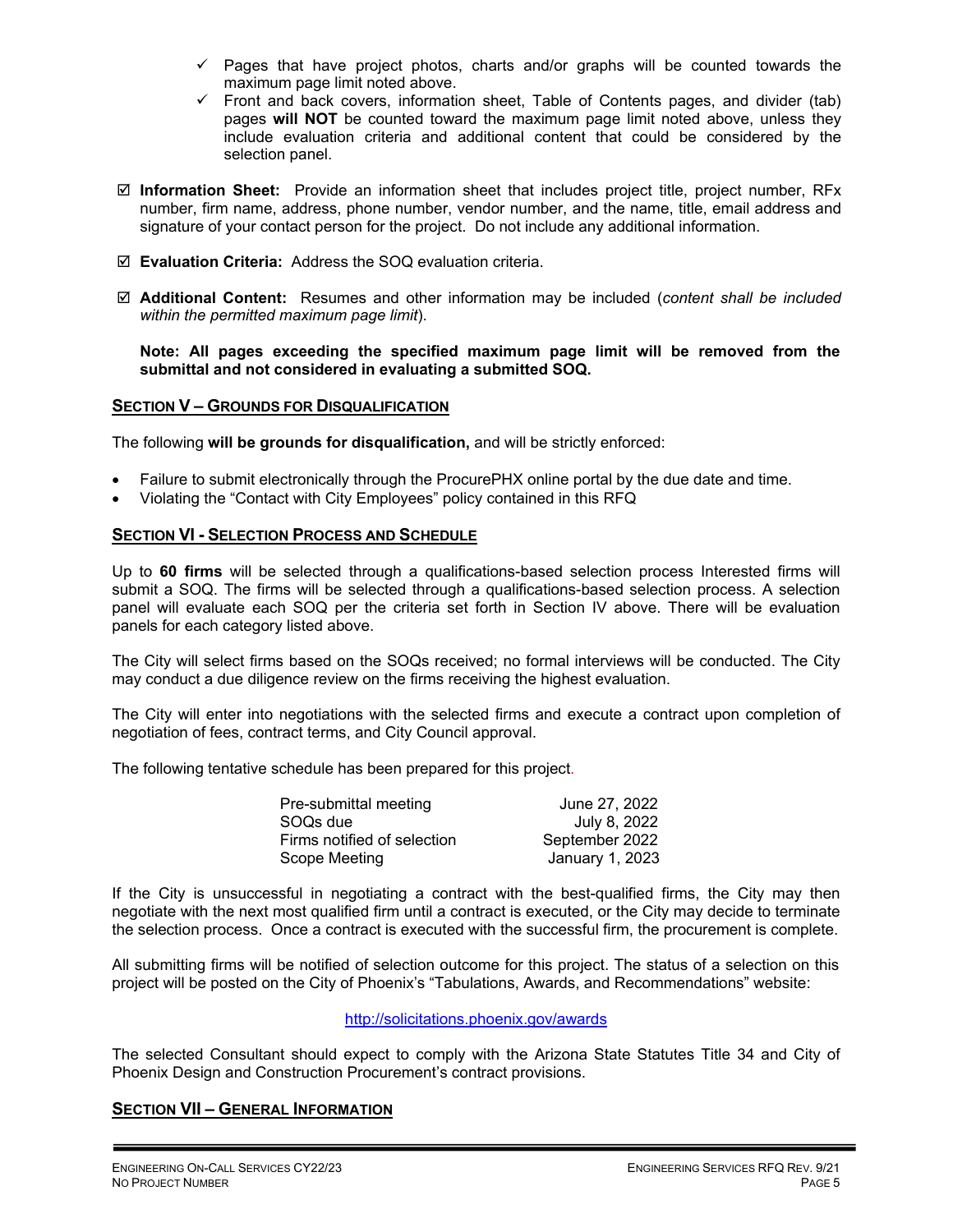- $\checkmark$  Pages that have project photos, charts and/or graphs will be counted towards the maximum page limit noted above.
- $\checkmark$  Front and back covers, information sheet, Table of Contents pages, and divider (tab) pages **will NOT** be counted toward the maximum page limit noted above, unless they include evaluation criteria and additional content that could be considered by the selection panel.
- **Information Sheet:** Provide an information sheet that includes project title, project number, RFx number, firm name, address, phone number, vendor number, and the name, title, email address and signature of your contact person for the project. Do not include any additional information.
- **Evaluation Criteria:** Address the SOQ evaluation criteria.
- **Additional Content:** Resumes and other information may be included (*content shall be included within the permitted maximum page limit*).

**Note: All pages exceeding the specified maximum page limit will be removed from the submittal and not considered in evaluating a submitted SOQ.** 

#### **SECTION V – GROUNDS FOR DISQUALIFICATION**

The following **will be grounds for disqualification,** and will be strictly enforced:

- Failure to submit electronically through the ProcurePHX online portal by the due date and time.
- Violating the "Contact with City Employees" policy contained in this RFQ

#### **SECTION VI - SELECTION PROCESS AND SCHEDULE**

Up to **60 firms** will be selected through a qualifications-based selection process Interested firms will submit a SOQ. The firms will be selected through a qualifications-based selection process. A selection panel will evaluate each SOQ per the criteria set forth in Section IV above. There will be evaluation panels for each category listed above.

The City will select firms based on the SOQs received; no formal interviews will be conducted. The City may conduct a due diligence review on the firms receiving the highest evaluation.

The City will enter into negotiations with the selected firms and execute a contract upon completion of negotiation of fees, contract terms, and City Council approval.

The following tentative schedule has been prepared for this project.

| Pre-submittal meeting       | June 27, 2022   |
|-----------------------------|-----------------|
| SOQs due                    | July 8, 2022    |
| Firms notified of selection | September 2022  |
| Scope Meeting               | January 1, 2023 |

If the City is unsuccessful in negotiating a contract with the best-qualified firms, the City may then negotiate with the next most qualified firm until a contract is executed, or the City may decide to terminate the selection process. Once a contract is executed with the successful firm, the procurement is complete.

All submitting firms will be notified of selection outcome for this project. The status of a selection on this project will be posted on the City of Phoenix's "Tabulations, Awards, and Recommendations" website:

http://solicitations.phoenix.gov/awards

The selected Consultant should expect to comply with the Arizona State Statutes Title 34 and City of Phoenix Design and Construction Procurement's contract provisions.

#### **SECTION VII – GENERAL INFORMATION**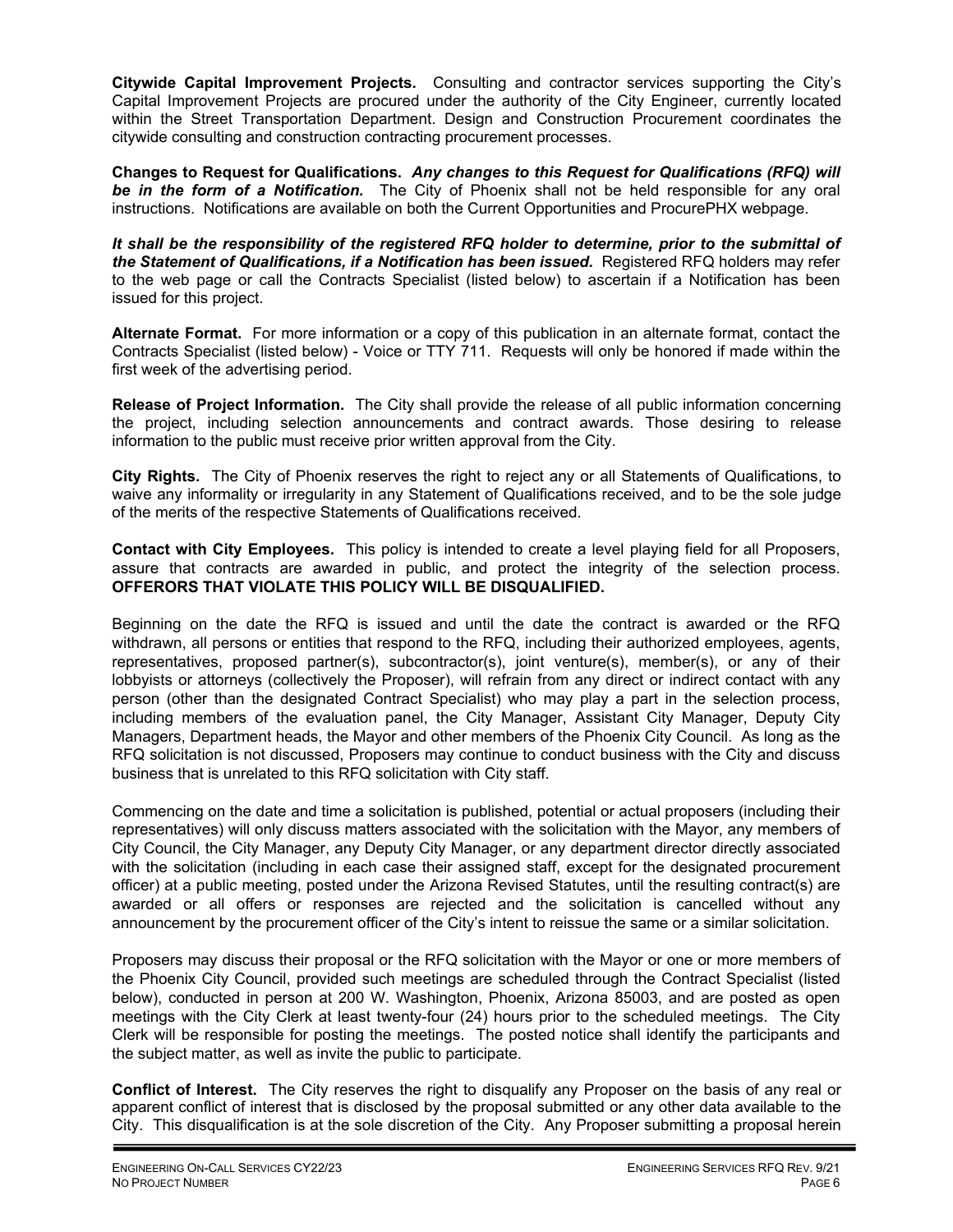**Citywide Capital Improvement Projects.** Consulting and contractor services supporting the City's Capital Improvement Projects are procured under the authority of the City Engineer, currently located within the Street Transportation Department. Design and Construction Procurement coordinates the citywide consulting and construction contracting procurement processes.

**Changes to Request for Qualifications.** *Any changes to this Request for Qualifications (RFQ) will be in the form of a Notification.* The City of Phoenix shall not be held responsible for any oral instructions. Notifications are available on both the Current Opportunities and ProcurePHX webpage.

*It shall be the responsibility of the registered RFQ holder to determine, prior to the submittal of the Statement of Qualifications, if a Notification has been issued***.** Registered RFQ holders may refer to the web page or call the Contracts Specialist (listed below) to ascertain if a Notification has been issued for this project.

**Alternate Format.** For more information or a copy of this publication in an alternate format, contact the Contracts Specialist (listed below) - Voice or TTY 711. Requests will only be honored if made within the first week of the advertising period.

**Release of Project Information.** The City shall provide the release of all public information concerning the project, including selection announcements and contract awards. Those desiring to release information to the public must receive prior written approval from the City.

**City Rights.** The City of Phoenix reserves the right to reject any or all Statements of Qualifications, to waive any informality or irregularity in any Statement of Qualifications received, and to be the sole judge of the merits of the respective Statements of Qualifications received.

**Contact with City Employees.** This policy is intended to create a level playing field for all Proposers, assure that contracts are awarded in public, and protect the integrity of the selection process. **OFFERORS THAT VIOLATE THIS POLICY WILL BE DISQUALIFIED.**

Beginning on the date the RFQ is issued and until the date the contract is awarded or the RFQ withdrawn, all persons or entities that respond to the RFQ, including their authorized employees, agents, representatives, proposed partner(s), subcontractor(s), joint venture(s), member(s), or any of their lobbyists or attorneys (collectively the Proposer), will refrain from any direct or indirect contact with any person (other than the designated Contract Specialist) who may play a part in the selection process, including members of the evaluation panel, the City Manager, Assistant City Manager, Deputy City Managers, Department heads, the Mayor and other members of the Phoenix City Council. As long as the RFQ solicitation is not discussed, Proposers may continue to conduct business with the City and discuss business that is unrelated to this RFQ solicitation with City staff.

Commencing on the date and time a solicitation is published, potential or actual proposers (including their representatives) will only discuss matters associated with the solicitation with the Mayor, any members of City Council, the City Manager, any Deputy City Manager, or any department director directly associated with the solicitation (including in each case their assigned staff, except for the designated procurement officer) at a public meeting, posted under the Arizona Revised Statutes, until the resulting contract(s) are awarded or all offers or responses are rejected and the solicitation is cancelled without any announcement by the procurement officer of the City's intent to reissue the same or a similar solicitation.

Proposers may discuss their proposal or the RFQ solicitation with the Mayor or one or more members of the Phoenix City Council, provided such meetings are scheduled through the Contract Specialist (listed below), conducted in person at 200 W. Washington, Phoenix, Arizona 85003, and are posted as open meetings with the City Clerk at least twenty-four (24) hours prior to the scheduled meetings. The City Clerk will be responsible for posting the meetings. The posted notice shall identify the participants and the subject matter, as well as invite the public to participate.

**Conflict of Interest.** The City reserves the right to disqualify any Proposer on the basis of any real or apparent conflict of interest that is disclosed by the proposal submitted or any other data available to the City. This disqualification is at the sole discretion of the City. Any Proposer submitting a proposal herein